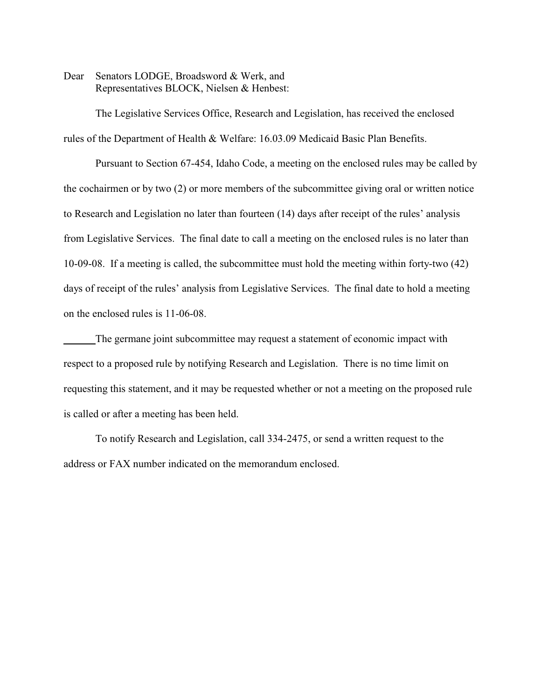Dear Senators LODGE, Broadsword & Werk, and Representatives BLOCK, Nielsen & Henbest:

The Legislative Services Office, Research and Legislation, has received the enclosed rules of the Department of Health & Welfare: 16.03.09 Medicaid Basic Plan Benefits.

Pursuant to Section 67-454, Idaho Code, a meeting on the enclosed rules may be called by the cochairmen or by two (2) or more members of the subcommittee giving oral or written notice to Research and Legislation no later than fourteen (14) days after receipt of the rules' analysis from Legislative Services. The final date to call a meeting on the enclosed rules is no later than 10-09-08. If a meeting is called, the subcommittee must hold the meeting within forty-two (42) days of receipt of the rules' analysis from Legislative Services. The final date to hold a meeting on the enclosed rules is 11-06-08.

The germane joint subcommittee may request a statement of economic impact with respect to a proposed rule by notifying Research and Legislation. There is no time limit on requesting this statement, and it may be requested whether or not a meeting on the proposed rule is called or after a meeting has been held.

To notify Research and Legislation, call 334-2475, or send a written request to the address or FAX number indicated on the memorandum enclosed.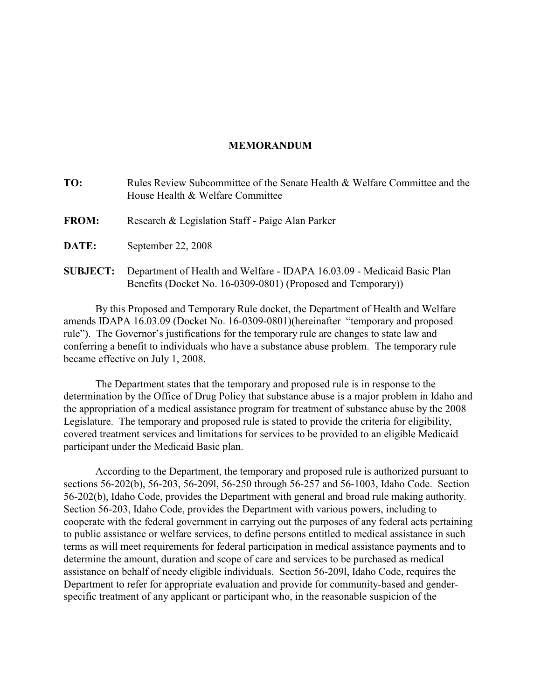### **MEMORANDUM**

| TO:             | Rules Review Subcommittee of the Senate Health & Welfare Committee and the<br>House Health & Welfare Committee                          |
|-----------------|-----------------------------------------------------------------------------------------------------------------------------------------|
| <b>FROM:</b>    | Research & Legislation Staff - Paige Alan Parker                                                                                        |
| DATE:           | September 22, 2008                                                                                                                      |
| <b>SUBJECT:</b> | Department of Health and Welfare - IDAPA 16.03.09 - Medicaid Basic Plan<br>Benefits (Docket No. 16-0309-0801) (Proposed and Temporary)) |

By this Proposed and Temporary Rule docket, the Department of Health and Welfare amends IDAPA 16.03.09 (Docket No. 16-0309-0801)(hereinafter "temporary and proposed rule"). The Governor's justifications for the temporary rule are changes to state law and conferring a benefit to individuals who have a substance abuse problem. The temporary rule became effective on July 1, 2008.

The Department states that the temporary and proposed rule is in response to the determination by the Office of Drug Policy that substance abuse is a major problem in Idaho and the appropriation of a medical assistance program for treatment of substance abuse by the 2008 Legislature. The temporary and proposed rule is stated to provide the criteria for eligibility, covered treatment services and limitations for services to be provided to an eligible Medicaid participant under the Medicaid Basic plan.

According to the Department, the temporary and proposed rule is authorized pursuant to sections 56-202(b), 56-203, 56-209l, 56-250 through 56-257 and 56-1003, Idaho Code. Section 56-202(b), Idaho Code, provides the Department with general and broad rule making authority. Section 56-203, Idaho Code, provides the Department with various powers, including to cooperate with the federal government in carrying out the purposes of any federal acts pertaining to public assistance or welfare services, to define persons entitled to medical assistance in such terms as will meet requirements for federal participation in medical assistance payments and to determine the amount, duration and scope of care and services to be purchased as medical assistance on behalf of needy eligible individuals. Section 56-209l, Idaho Code, requires the Department to refer for appropriate evaluation and provide for community-based and genderspecific treatment of any applicant or participant who, in the reasonable suspicion of the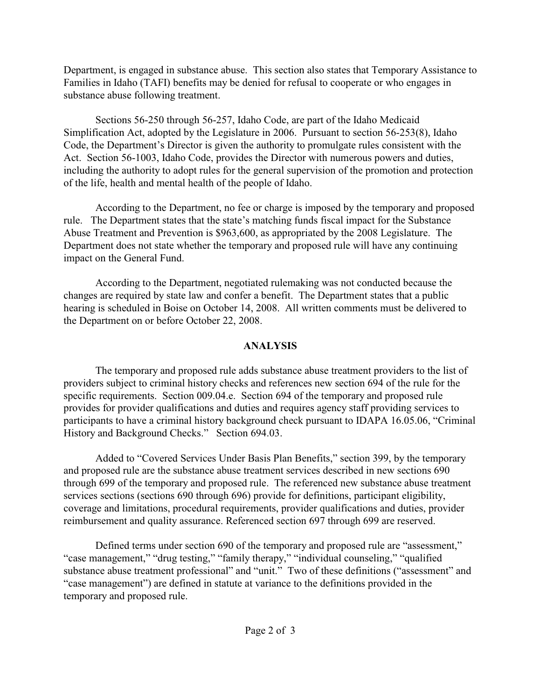Department, is engaged in substance abuse. This section also states that Temporary Assistance to Families in Idaho (TAFI) benefits may be denied for refusal to cooperate or who engages in substance abuse following treatment.

Sections 56-250 through 56-257, Idaho Code, are part of the Idaho Medicaid Simplification Act, adopted by the Legislature in 2006. Pursuant to section 56-253(8), Idaho Code, the Department's Director is given the authority to promulgate rules consistent with the Act. Section 56-1003, Idaho Code, provides the Director with numerous powers and duties, including the authority to adopt rules for the general supervision of the promotion and protection of the life, health and mental health of the people of Idaho.

According to the Department, no fee or charge is imposed by the temporary and proposed rule. The Department states that the state's matching funds fiscal impact for the Substance Abuse Treatment and Prevention is \$963,600, as appropriated by the 2008 Legislature. The Department does not state whether the temporary and proposed rule will have any continuing impact on the General Fund.

According to the Department, negotiated rulemaking was not conducted because the changes are required by state law and confer a benefit. The Department states that a public hearing is scheduled in Boise on October 14, 2008. All written comments must be delivered to the Department on or before October 22, 2008.

## **ANALYSIS**

The temporary and proposed rule adds substance abuse treatment providers to the list of providers subject to criminal history checks and references new section 694 of the rule for the specific requirements. Section 009.04.e. Section 694 of the temporary and proposed rule provides for provider qualifications and duties and requires agency staff providing services to participants to have a criminal history background check pursuant to IDAPA 16.05.06, "Criminal History and Background Checks." Section 694.03.

Added to "Covered Services Under Basis Plan Benefits," section 399, by the temporary and proposed rule are the substance abuse treatment services described in new sections 690 through 699 of the temporary and proposed rule. The referenced new substance abuse treatment services sections (sections 690 through 696) provide for definitions, participant eligibility, coverage and limitations, procedural requirements, provider qualifications and duties, provider reimbursement and quality assurance. Referenced section 697 through 699 are reserved.

Defined terms under section 690 of the temporary and proposed rule are "assessment," "case management," "drug testing," "family therapy," "individual counseling," "qualified substance abuse treatment professional" and "unit." Two of these definitions ("assessment" and "case management") are defined in statute at variance to the definitions provided in the temporary and proposed rule.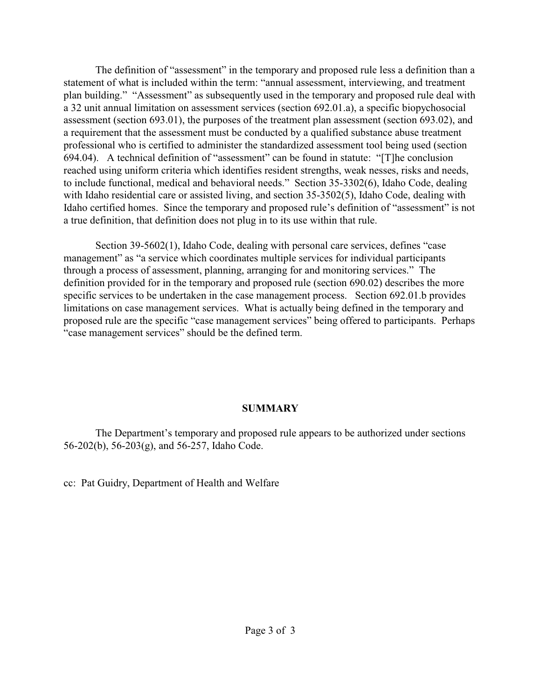The definition of "assessment" in the temporary and proposed rule less a definition than a statement of what is included within the term: "annual assessment, interviewing, and treatment plan building." "Assessment" as subsequently used in the temporary and proposed rule deal with a 32 unit annual limitation on assessment services (section 692.01.a), a specific biopychosocial assessment (section 693.01), the purposes of the treatment plan assessment (section 693.02), and a requirement that the assessment must be conducted by a qualified substance abuse treatment professional who is certified to administer the standardized assessment tool being used (section 694.04). A technical definition of "assessment" can be found in statute: "[T]he conclusion reached using uniform criteria which identifies resident strengths, weak nesses, risks and needs, to include functional, medical and behavioral needs." Section 35-3302(6), Idaho Code, dealing with Idaho residential care or assisted living, and section 35-3502(5), Idaho Code, dealing with Idaho certified homes. Since the temporary and proposed rule's definition of "assessment" is not a true definition, that definition does not plug in to its use within that rule.

Section 39-5602(1), Idaho Code, dealing with personal care services, defines "case management" as "a service which coordinates multiple services for individual participants through a process of assessment, planning, arranging for and monitoring services." The definition provided for in the temporary and proposed rule (section 690.02) describes the more specific services to be undertaken in the case management process. Section 692.01.b provides limitations on case management services. What is actually being defined in the temporary and proposed rule are the specific "case management services" being offered to participants. Perhaps "case management services" should be the defined term.

### **SUMMARY**

The Department's temporary and proposed rule appears to be authorized under sections 56-202(b), 56-203(g), and 56-257, Idaho Code.

cc: Pat Guidry, Department of Health and Welfare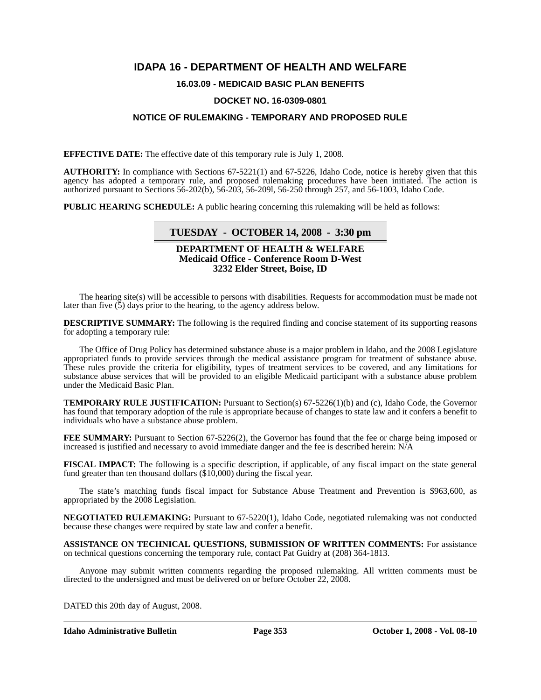### **IDAPA 16 - DEPARTMENT OF HEALTH AND WELFARE**

### **16.03.09 - MEDICAID BASIC PLAN BENEFITS**

### **DOCKET NO. 16-0309-0801**

### **NOTICE OF RULEMAKING - TEMPORARY AND PROPOSED RULE**

**EFFECTIVE DATE:** The effective date of this temporary rule is July 1, 2008*.*

**AUTHORITY:** In compliance with Sections 67-5221(1) and 67-5226, Idaho Code, notice is hereby given that this agency has adopted a temporary rule, and proposed rulemaking procedures have been initiated. The action is authorized pursuant to Sections 56-202(b), 56-203, 56-209l, 56-250 through 257, and 56-1003, Idaho Code.

**PUBLIC HEARING SCHEDULE:** A public hearing concerning this rulemaking will be held as follows:

### **TUESDAY - OCTOBER 14, 2008 - 3:30 pm**

### **DEPARTMENT OF HEALTH & WELFARE Medicaid Office - Conference Room D-West 3232 Elder Street, Boise, ID**

The hearing site(s) will be accessible to persons with disabilities. Requests for accommodation must be made not later than five  $(5)$  days prior to the hearing, to the agency address below.

**DESCRIPTIVE SUMMARY:** The following is the required finding and concise statement of its supporting reasons for adopting a temporary rule:

The Office of Drug Policy has determined substance abuse is a major problem in Idaho, and the 2008 Legislature appropriated funds to provide services through the medical assistance program for treatment of substance abuse. These rules provide the criteria for eligibility, types of treatment services to be covered, and any limitations for substance abuse services that will be provided to an eligible Medicaid participant with a substance abuse problem under the Medicaid Basic Plan.

**TEMPORARY RULE JUSTIFICATION:** Pursuant to Section(s) 67-5226(1)(b) and (c), Idaho Code, the Governor has found that temporary adoption of the rule is appropriate because of changes to state law and it confers a benefit to individuals who have a substance abuse problem.

**FEE SUMMARY:** Pursuant to Section 67-5226(2), the Governor has found that the fee or charge being imposed or increased is justified and necessary to avoid immediate danger and the fee is described herein: N/A

**FISCAL IMPACT:** The following is a specific description, if applicable, of any fiscal impact on the state general fund greater than ten thousand dollars (\$10,000) during the fiscal year.

The state's matching funds fiscal impact for Substance Abuse Treatment and Prevention is \$963,600, as appropriated by the 2008 Legislation.

**NEGOTIATED RULEMAKING:** Pursuant to 67-5220(1), Idaho Code, negotiated rulemaking was not conducted because these changes were required by state law and confer a benefit.

**ASSISTANCE ON TECHNICAL QUESTIONS, SUBMISSION OF WRITTEN COMMENTS:** For assistance on technical questions concerning the temporary rule, contact Pat Guidry at (208) 364-1813.

Anyone may submit written comments regarding the proposed rulemaking. All written comments must be directed to the undersigned and must be delivered on or before October 22, 2008.

DATED this 20th day of August, 2008.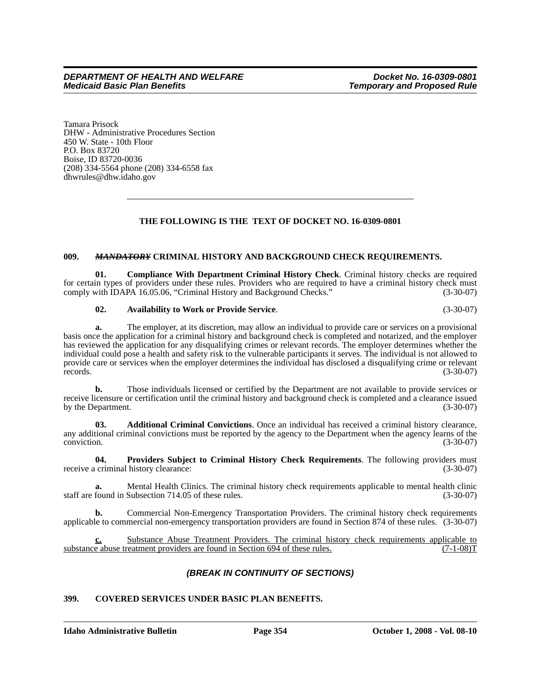Tamara Prisock DHW - Administrative Procedures Section 450 W. State - 10th Floor P.O. Box 83720 Boise, ID 83720-0036 (208) 334-5564 phone (208) 334-6558 fax <dhwrules@dhw.idaho.gov>

### **THE FOLLOWING IS THE TEXT OF DOCKET NO. 16-0309-0801**

### **009.** *MANDATORY* **CRIMINAL HISTORY AND BACKGROUND CHECK REQUIREMENTS.**

**01.** Compliance With Department Criminal History Check. Criminal history checks are required for certain types of providers under these rules. Providers who are required to have a criminal history check must comply with IDAPA 16.05.06, "Criminal History and Background Checks." (3-30-07) comply with IDAPA 16.05.06, "Criminal History and Background Checks."

### **02. Availability to Work or Provide Service**. (3-30-07)

**a.** The employer, at its discretion, may allow an individual to provide care or services on a provisional basis once the application for a criminal history and background check is completed and notarized, and the employer has reviewed the application for any disqualifying crimes or relevant records. The employer determines whether the individual could pose a health and safety risk to the vulnerable participants it serves. The individual is not allowed to provide care or services when the employer determines the individual has disclosed a disqualifying crime or relevant records. (3-30-07) records. (3-30-07)

**b.** Those individuals licensed or certified by the Department are not available to provide services or receive licensure or certification until the criminal history and background check is completed and a clearance issued<br>(3-30-07) (3-30-07) by the Department.

**03. Additional Criminal Convictions**. Once an individual has received a criminal history clearance, any additional criminal convictions must be reported by the agency to the Department when the agency learns of the conviction. (3-30-07)

**04. Providers Subject to Criminal History Check Requirements**. The following providers must receive a criminal history clearance: (3-30-07)

**a.** Mental Health Clinics. The criminal history check requirements applicable to mental health clinic staff are found in Subsection 714.05 of these rules. (3-30-07)

**b.** Commercial Non-Emergency Transportation Providers. The criminal history check requirements applicable to commercial non-emergency transportation providers are found in Section 874 of these rules. (3-30-07)

**c.** Substance Abuse Treatment Providers. The criminal history check requirements applicable to a abuse treatment providers are found in Section 694 of these rules. (7-1-08)  $substance$  abuse treatment providers are found in Section 694 of these rules.

### *(BREAK IN CONTINUITY OF SECTIONS)*

### **399. COVERED SERVICES UNDER BASIC PLAN BENEFITS.**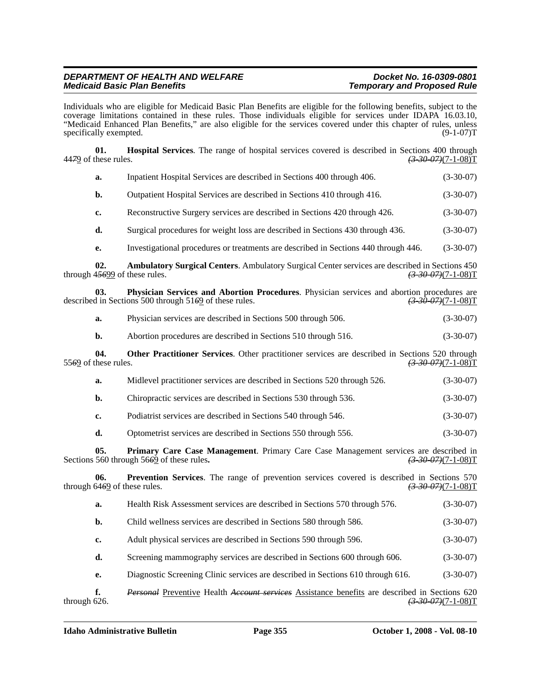Individuals who are eligible for Medicaid Basic Plan Benefits are eligible for the following benefits, subject to the coverage limitations contained in these rules. Those individuals eligible for services under IDAPA 16.03.10, "Medicaid Enhanced Plan Benefits," are also eligible for the services covered under this chapter of rules, unless specifically exempted.

**01. Hospital Services**. The range of hospital services covered is described in Sections 400 through these rules.  $\frac{(3-30-07)(7-1-08)T}{\cdots}$ 4479 of these rules.

|                                                                                                                                                                          | a.  | Inpatient Hospital Services are described in Sections 400 through 406.                                                                               | $(3-30-07)$                                |
|--------------------------------------------------------------------------------------------------------------------------------------------------------------------------|-----|------------------------------------------------------------------------------------------------------------------------------------------------------|--------------------------------------------|
|                                                                                                                                                                          | b.  | Outpatient Hospital Services are described in Sections 410 through 416.                                                                              | $(3-30-07)$                                |
|                                                                                                                                                                          | c.  | Reconstructive Surgery services are described in Sections 420 through 426.                                                                           | $(3-30-07)$                                |
|                                                                                                                                                                          | d.  | Surgical procedures for weight loss are described in Sections 430 through 436.                                                                       | $(3-30-07)$                                |
|                                                                                                                                                                          | e.  | Investigational procedures or treatments are described in Sections 440 through 446.                                                                  | $(3-30-07)$                                |
|                                                                                                                                                                          | 02. | Ambulatory Surgical Centers. Ambulatory Surgical Center services are described in Sections 450<br>through 45699 of these rules.                      | $(3.30.07)(7-1-08)$ T                      |
|                                                                                                                                                                          | 03. | Physician Services and Abortion Procedures. Physician services and abortion procedures are<br>described in Sections 500 through 5169 of these rules. | $\left(3\right.30\right.07\left)(7-1-08)T$ |
|                                                                                                                                                                          | a.  | Physician services are described in Sections 500 through 506.                                                                                        | $(3-30-07)$                                |
|                                                                                                                                                                          | b.  | Abortion procedures are described in Sections 510 through 516.                                                                                       | $(3-30-07)$                                |
| 04.<br>Other Practitioner Services. Other practitioner services are described in Sections 520 through<br>5569 of these rules.<br>$\left(3 - 30 - 07\right)(7 - 1 - 08)T$ |     |                                                                                                                                                      |                                            |
|                                                                                                                                                                          | a.  | Midlevel practitioner services are described in Sections 520 through 526.                                                                            | $(3-30-07)$                                |
|                                                                                                                                                                          | b.  | Chiropractic services are described in Sections 530 through 536.                                                                                     | $(3-30-07)$                                |
|                                                                                                                                                                          | c.  | Podiatrist services are described in Sections 540 through 546.                                                                                       | $(3-30-07)$                                |
|                                                                                                                                                                          | d.  | Optometrist services are described in Sections 550 through 556.                                                                                      | $(3-30-07)$                                |
| Primary Care Case Management. Primary Care Case Management services are described in<br>05.<br>Sections 560 through $5669$ of these rules.<br>$(3.30.07)(7-1-08)T$       |     |                                                                                                                                                      |                                            |
| 06.<br>Prevention Services. The range of prevention services covered is described in Sections 570<br>through 6469 of these rules.<br>$(3.30.07)(7-1-08)$ T               |     |                                                                                                                                                      |                                            |
|                                                                                                                                                                          | a.  | Health Risk Assessment services are described in Sections 570 through 576.                                                                           | $(3-30-07)$                                |
|                                                                                                                                                                          | b.  | Child wellness services are described in Sections 580 through 586.                                                                                   | $(3-30-07)$                                |
|                                                                                                                                                                          | c.  | Adult physical services are described in Sections 590 through 596.                                                                                   | $(3-30-07)$                                |
|                                                                                                                                                                          | d.  | Screening mammography services are described in Sections 600 through 606.                                                                            | $(3-30-07)$                                |
|                                                                                                                                                                          | e.  | Diagnostic Screening Clinic services are described in Sections 610 through 616.                                                                      | $(3-30-07)$                                |
| through 626.                                                                                                                                                             | f.  | Personal Preventive Health Account services Assistance benefits are described in Sections 620                                                        | $(3-30-07)(7-1-08)$ T                      |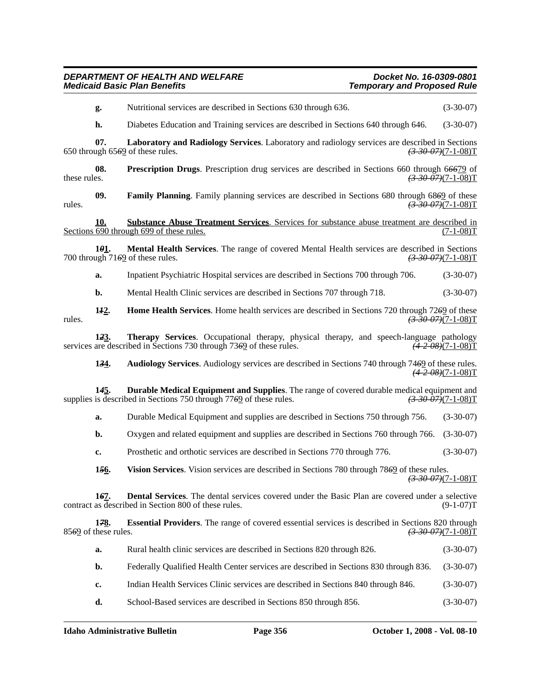**g.** Nutritional services are described in Sections 630 through 636. (3-30-07)

**h.** Diabetes Education and Training services are described in Sections 640 through 646. (3-30-07)

**07.** Laboratory and Radiology Services. Laboratory and radiology services are described in Sections ugh 6569 of these rules.  $\sqrt{3-30-07+(1-08)T}$ 650 through 65<del>6</del>9 of these rules.

**08.** Prescription Drugs. Prescription drug services are described in Sections 660 through 66679 of these rules.  $(3-30-0.07)(7-1-0.08)$  $\left(3 - 30 - 07\right)$ (7-1-08)T

**09. Family Planning**. Family planning services are described in Sections 680 through 68*6*9 of these rules. *(3-30-07)*(7-1-08)T

**10. Substance Abuse Treatment Services**. Services for substance abuse treatment are described in Sections 690 through 699 of these rules. (7-1-08)T

**1***0***<sub>1</sub>.** Mental Health Services. The range of covered Mental Health services are described in Sections (3–30–07)(7–1–08) $T$ 700 through 7169 of these rules.

**a.** Inpatient Psychiatric Hospital services are described in Sections 700 through 706. (3-30-07)

**b.** Mental Health Clinic services are described in Sections 707 through 718. (3-30-07)

**1***1***2. Home Health Services**. Home health services are described in Sections 720 through 72*6*9 of these rules. *(3-30-07)*(7-1-08)T

**123.** Therapy Services. Occupational therapy, physical therapy, and speech-language pathology are described in Sections 730 through 7369 of these rules.  $(42.08)(7-1-08)T$ services are described in Sections 730 through 7369 of these rules.

**1***3***4. Audiology Services**. Audiology services are described in Sections 740 through 74*6*9 of these rules. *(4-2-08)*(7-1-08)T

**145.** Durable Medical Equipment and Supplies. The range of covered durable medical equipment and is described in Sections 750 through 7769 of these rules.  $\overline{(3\cdot30\cdot07)(7\cdot1\cdot08)T}$ supplies is described in Sections 750 through 7769 of these rules.

**a.** Durable Medical Equipment and supplies are described in Sections 750 through 756. (3-30-07)

**b.** Oxygen and related equipment and supplies are described in Sections 760 through 766. (3-30-07)

**c.** Prosthetic and orthotic services are described in Sections 770 through 776. (3-30-07)

**1***5***6. Vision Services**. Vision services are described in Sections 780 through 78*6*9 of these rules. *(3-30-07)*(7-1-08)T

**167. Dental Services**. The dental services covered under the Basic Plan are covered under a selective as described in Section 800 of these rules. (9-1-07) contract as described in Section 800 of these rules.

**1***7***8. Essential Providers**. The range of covered essential services is described in Sections 820 through 85*6*9 of these rules. *(3-30-07)*(7-1-08)T

| а. | Rural health clinic services are described in Sections 820 through 826. | $(3-30-07)$ |
|----|-------------------------------------------------------------------------|-------------|
|    |                                                                         |             |

- **b.** Federally Qualified Health Center services are described in Sections 830 through 836. (3-30-07)
- **c.** Indian Health Services Clinic services are described in Sections 840 through 846. (3-30-07)
- **d.** School-Based services are described in Sections 850 through 856. (3-30-07)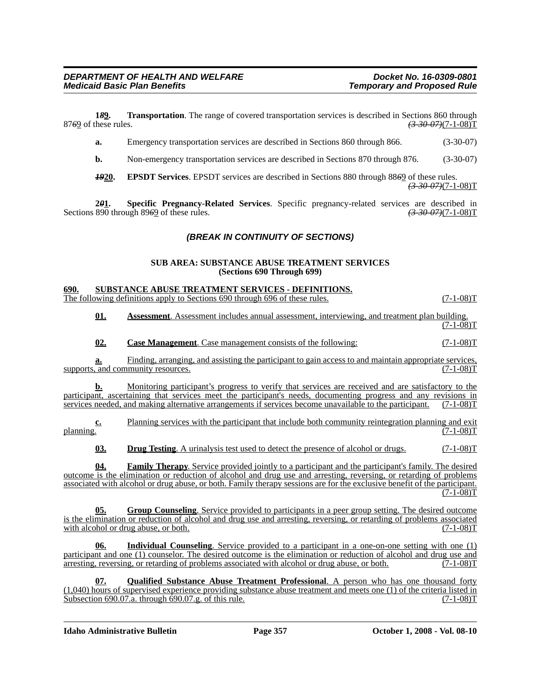**1***8***9. Transportation**. The range of covered transportation services is described in Sections 860 through 87*6*9 of these rules. *(3-30-07)*(7-1-08)T

**a.** Emergency transportation services are described in Sections 860 through 866. (3-30-07)

**b.** Non-emergency transportation services are described in Sections 870 through 876. (3-30-07)

*19***20. EPSDT Services**. EPSDT services are described in Sections 880 through 88*6*9 of these rules. *(3-30-07)*(7-1-08)T

**201.** Specific Pregnancy-Related Services. Specific pregnancy-related services are described in 890 through 8969 of these rules.  $\left(3-30-07\right)(7-1-08)T$ Sections 890 through 8969 of these rules.

### *(BREAK IN CONTINUITY OF SECTIONS)*

#### **SUB AREA: SUBSTANCE ABUSE TREATMENT SERVICES (Sections 690 Through 699)**

#### **690. SUBSTANCE ABUSE TREATMENT SERVICES - DEFINITIONS.** The following definitions apply to Sections 690 through 696 of these rules. (7-1-08)T

**01. Assessment**. Assessment includes annual assessment, interviewing, and treatment plan building.  $(7-1-08)T$ 

**02. Case Management**. Case management consists of the following: (7-1-08)T

**a.** Finding, arranging, and assisting the participant to gain access to and maintain appropriate services, and community resources. supports, and community resources.

**b.** Monitoring participant's progress to verify that services are received and are satisfactory to the participant, ascertaining that services meet the participant's needs, documenting progress and any revisions in services needed, and making alternative arrangements if services become unavailable to the participant. (7-1-0 services needed, and making alternative arrangements if services become unavailable to the participant.

**c.** Planning services with the participant that include both community reintegration planning and exit planning. (7-1-08)  $\frac{1}{2}$  planning.  $\frac{1}{2}$  and  $\frac{1}{2}$  and  $\frac{1}{2}$  and  $\frac{1}{2}$  and  $\frac{1}{2}$  and  $\frac{1}{2}$  and  $\frac{1}{2}$  and  $\frac{1}{2}$  and  $\frac{1}{2}$  and  $\frac{1}{2}$  and  $\frac{1}{2}$  and  $\frac{1}{2}$  and  $\frac{1}{2}$  and  $\frac{1}{2}$  and  $\frac{1$ 

**03. Drug Testing**. A urinalysis test used to detect the presence of alcohol or drugs. (7-1-08)T

**04. Family Therapy**. Service provided jointly to a participant and the participant's family. The desired outcome is the elimination or reduction of alcohol and drug use and arresting, reversing, or retarding of problems associated with alcohol or drug abuse, or both. Family therapy sessions are for the exclusive benefit of the participant.  $(7-1-08)T$ 

**05. Group Counseling**. Service provided to participants in a peer group setting. The desired outcome is the elimination or reduction of alcohol and drug use and arresting, reversing, or retarding of problems associated<br>with alcohol or drug abuse, or both. (7-1-08) with alcohol or drug abuse, or both.

**06. Individual Counseling**. Service provided to a participant in a one-on-one setting with one (1) participant and one (1) counselor. The desired outcome is the elimination or reduction of alcohol and drug use and arresting, reversing, or retarding of problems associated with alcohol or drug abuse, or both. (7-1-08) arresting, reversing, or retarding of problems associated with alcohol or drug abuse, or both.

**07. Qualified Substance Abuse Treatment Professional**. A person who has one thousand forty (1,040) hours of supervised experience providing substance abuse treatment and meets one (1) of the criteria listed in Subsection 690.07.a. through  $\overline{690.07}$ ,  $\overline{90.07}$ ,  $\overline{90.07}$ ,  $\overline{10.08}$  T

**Idaho Administrative Bulletin Page 357 October 1, 2008 - Vol. 08-10**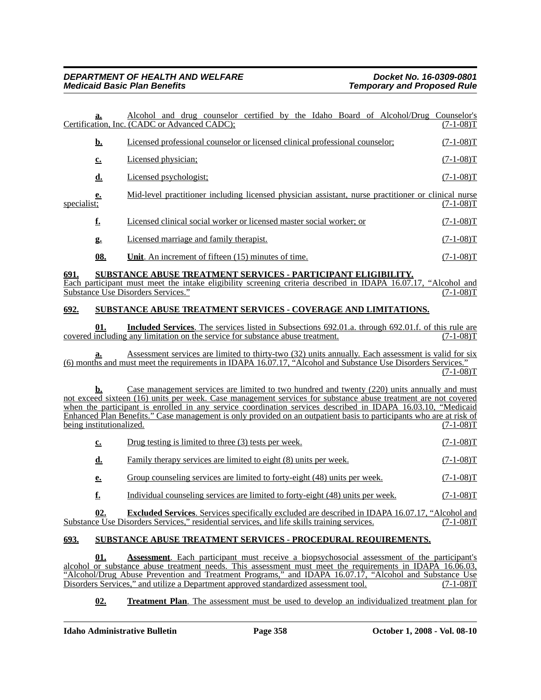|             | <u>a.</u>   | Alcohol and drug counselor certified by the Idaho Board of Alcohol/Drug<br>Certification, Inc. (CADC or Advanced CADC); | Counselor's<br>$(7-1-08)T$ |
|-------------|-------------|-------------------------------------------------------------------------------------------------------------------------|----------------------------|
| specialist: | <u>b.</u>   | Licensed professional counselor or licensed clinical professional counselor;                                            | $(7-1-08)T$                |
|             | $c_{\cdot}$ | Licensed physician:                                                                                                     | $(7-1-08)T$                |
|             | <u>d.</u>   | Licensed psychologist;                                                                                                  | $(7-1-08)T$                |
|             | $e_{\cdot}$ | Mid-level practitioner including licensed physician assistant, nurse practitioner or clinical nurse                     | $(7-1-08)T$                |
|             | f.          | Licensed clinical social worker or licensed master social worker; or                                                    | $(7-1-08)T$                |
|             | <b>g.</b>   | Licensed marriage and family therapist.                                                                                 | $(7-1-08)T$                |
|             | <u>08.</u>  | <b>Unit.</b> An increment of fifteen $(15)$ minutes of time.                                                            | $(7-1-08)T$                |
|             |             |                                                                                                                         |                            |

#### **691. SUBSTANCE ABUSE TREATMENT SERVICES - PARTICIPANT ELIGIBILITY.** Each participant must meet the intake eligibility screening criteria described in IDAPA 16.07.17, "Alcohol and Substance Use Disorders Services." (7-1-08) Substance Use Disorders Services."

### **692. SUBSTANCE ABUSE TREATMENT SERVICES - COVERAGE AND LIMITATIONS.**

**01. Included Services**. The services listed in Subsections 692.01.a. through 692.01.f. of this rule are including any limitation on the service for substance abuse treatment. (7-1-08) covered including any limitation on the service for substance abuse treatment.

**a.** Assessment services are limited to thirty-two (32) units annually. Each assessment is valid for six (6) months and must meet the requirements in IDAPA 16.07.17, "Alcohol and Substance Use Disorders Services."  $(7 - 1 - 08)T$ 

**b.** Case management services are limited to two hundred and twenty (220) units annually and must not exceed sixteen (16) units per week. Case management services for substance abuse treatment are not covered when the participant is enrolled in any service coordination services described in IDAPA 16.03.10, "Medicaid Enhanced Plan Benefits." Case management is only provided on an outpatient basis to participants who are at risk of being institutionalized. (7-1-08) being institutionalized.

| $\mathbf{c}$ . | Drug testing is limited to three (3) tests per week.                             | $(7-1-08)T$ |
|----------------|----------------------------------------------------------------------------------|-------------|
| <u>d.</u>      | <u>Family therapy services are limited to eight (8) units per week.</u>          | $(7-1-08)T$ |
|                | <u>Group counseling services are limited to forty-eight (48) units per week.</u> | $(7-1-08)T$ |

**f.** Individual counseling services are limited to forty-eight (48) units per week. (7-1-08)T

**02. Excluded Services**. Services specifically excluded are described in IDAPA 16.07.17, "Alcohol and Substance Use Disorders Services," residential services, and life skills training services. (7-1-08)T

### **693. SUBSTANCE ABUSE TREATMENT SERVICES - PROCEDURAL REQUIREMENTS.**

**01. Assessment**. Each participant must receive a biopsychosocial assessment of the participant's alcohol or substance abuse treatment needs. This assessment must meet the requirements in IDAPA 16.06.03, "Alcohol/Drug Abuse Prevention and Treatment Programs," and IDAPA 16.07.17, "Alcohol and Substance Use Disorders Services," and utilize a Department approved standardized assessment tool.

**02. Treatment Plan**. The assessment must be used to develop an individualized treatment plan for